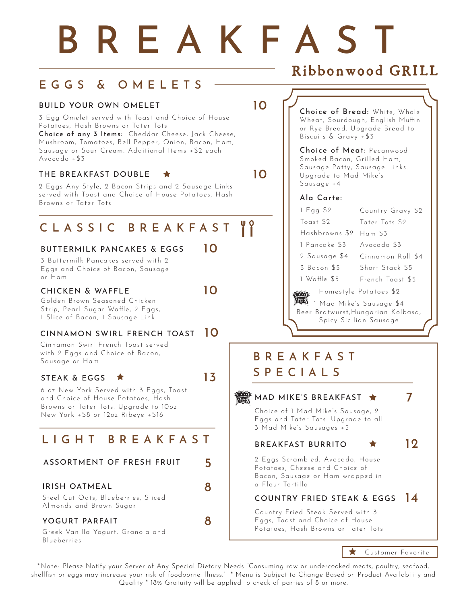# BREAKFAST

## EGGS & OMELETS

#### BUILD YOUR OWN OMELET 10

3 Egg Omelet served with Toast and Choice of House Potatoes, Hash Browns or Tater Tots

Choice of any 3 Items: Cheddar Cheese, Jack Cheese, Mushroom, Tomatoes, Bell Pepper, Onion, Bacon, Ham, Sausage or Sour Cream. Additional Items +\$2 each Avocado +\$3

#### THE BREAKFAST DOUBLE  $\star$  10

2 Eggs Any Style, 2 Bacon Strips and 2 Sausage Links served with Toast and Choice of House Potatoes, Hash Browns or Tater Tots

## CLASSIC BREAKFAST "

#### BUTTERMILK PANCAKES & EGGS 10

3 Buttermilk Pancakes served with 2 Eggs and Choice of Bacon, Sausage or Ham

#### CHICKEN & WAFFLE 10

Golden Brown Seasoned Chicken Strip, Pearl Sugar Waffle, 2 Eggs, 1 Slice of Bacon, 1 Sausage Link

#### CINNAMON SWIRL FRENCH TOAST 10

Cinnamon Swirl French Toast served with 2 Eggs and Choice of Bacon, Sausage or Ham

#### STEAK & EGGS  $\star$  13

6 oz New York Served with 3 Eggs, Toast and Choice of House Potatoes, Hash Browns or Tater Tots. Upgrade to 10oz New York +\$8 or 12oz Ribeye +\$16

## LIGHT BREAKFAST

#### ASSORTMENT OF FRESH FRUIT 5

#### IRISH OATMEAL 8

Steel Cut Oats, Blueberries, Sliced Almonds and Brown Sugar

#### YOGURT PARFAIT 8

Greek Vanilla Yogurt, Granola and Blueberries

## Ribbonwood GRILL

Choice of Bread: White, Whole Wheat, Sourdough, English Muffin or Rye Bread. Upgrade Bread to Biscuits & Gravy +\$3

Choice of Meat: Pecanwood Smoked Bacon, Grilled Ham, Sausage Patty, Sausage Links. Upgrade to Mad Mike's Sausage +4

#### Ala Carte:

1 Mad Mike's Sausage \$4 Beer Bratwurst,Hungarian Kolbasa, Spicy Sicilian Sausage Homestyle Potatoes \$2 1 Egg \$2 Toast \$2 Hashbrowns \$2 Ham \$3 1 Pancake \$3 2 Sausage \$4 3 Bacon \$5 1 Waffle \$5 Country Gravy \$2 Tater Tots \$2 Avocado \$3 Cinnamon Roll \$4 Short Stack \$5 French Toast \$5

## BREAKFAST SPECIALS



 $\star$ Customer Favorite

\*Note: Please Notify your Server of Any Special Dietary Needs "Consuming raw or undercooked meats, poultry, seafood, shellfish or eggs may increase your risk of foodborne illness." \* Menu is Subject to Change Based on Product Availability and Quality \* 18% Gratuity will be applied to check of parties of 8 or more.